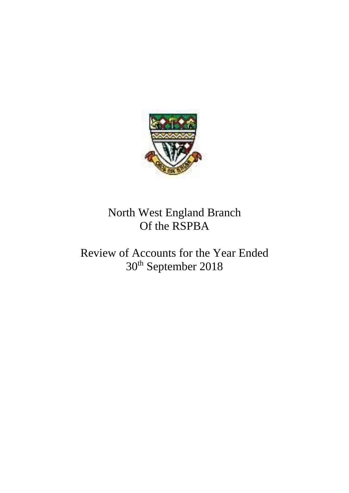

# North West England Branch Of the RSPBA

# Review of Accounts for the Year Ended 30th September 2018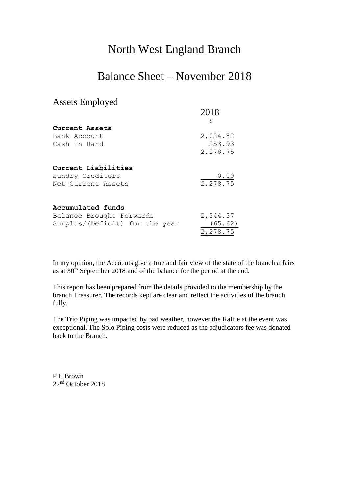### North West England Branch

### Balance Sheet – November 2018

#### Assets Employed

|                                | 2018<br>£ |
|--------------------------------|-----------|
| Current Assets                 |           |
| Bank Account                   | 2,024.82  |
| Cash in Hand                   | 253.93    |
|                                | 2,278.75  |
| Current Liabilities            |           |
| Sundry Creditors               | 0.00      |
| Net Current Assets             | 2,278.75  |
| Accumulated funds              |           |
| Balance Brought Forwards       | 2,344.37  |
| Surplus/(Deficit) for the year | (65.62)   |

In my opinion, the Accounts give a true and fair view of the state of the branch affairs as at 30<sup>th</sup> September 2018 and of the balance for the period at the end.

2,278.75

This report has been prepared from the details provided to the membership by the branch Treasurer. The records kept are clear and reflect the activities of the branch fully.

The Trio Piping was impacted by bad weather, however the Raffle at the event was exceptional. The Solo Piping costs were reduced as the adjudicators fee was donated back to the Branch.

P L Brown 22nd October 2018